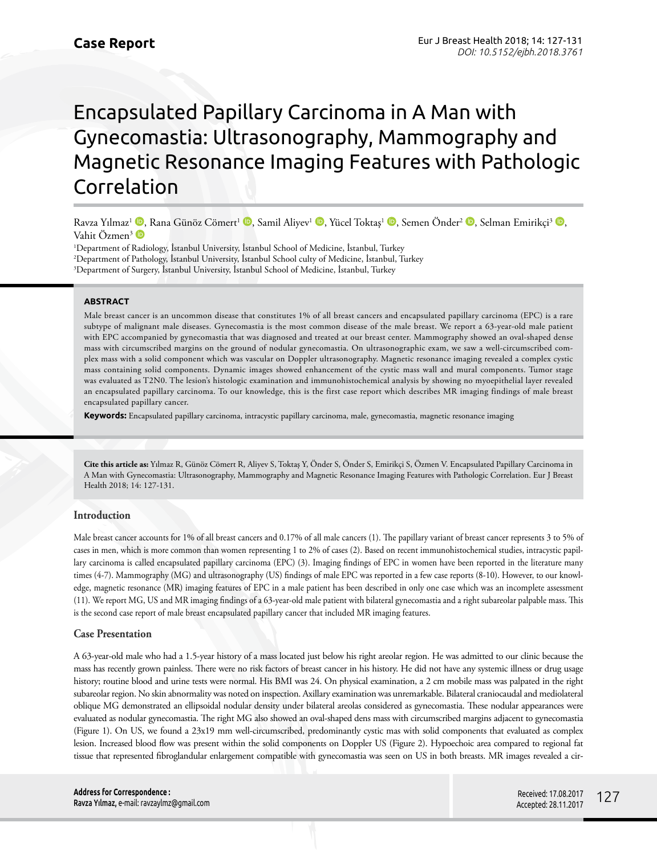# Encapsulated Papillary Carcinoma in A Man with Gynecomastia: Ultrasonography, Mammography and Magnetic Resonance Imaging Features with Pathologic Correlation

Ravza Yılmaz<sup>ı (D</sup>)[,](http://orcid.org/0000-0001-9333-6926) Rana Günöz Cömert<sup>1</sup> (D<sub>)</sub>, Samil Aliyev<sup>1</sup> (D), Yücel Toktaş<sup>ı</sup> (D), Semen Önder<sup>2</sup> (D), Selman Emirikçi<sup>3</sup> (D), Vahit Özmen<sup>3</sup>

1 Department of Radiology, İstanbul University, İstanbul School of Medicine, İstanbul, Turkey 2 Department of Pathology, İstanbul University, İstanbul School culty of Medicine, İstanbul, Turkey 3 Department of Surgery, İstanbul University, İstanbul School of Medicine, İstanbul, Turkey

### **ABSTRACT**

Male breast cancer is an uncommon disease that constitutes 1% of all breast cancers and encapsulated papillary carcinoma (EPC) is a rare subtype of malignant male diseases. Gynecomastia is the most common disease of the male breast. We report a 63-year-old male patient with EPC accompanied by gynecomastia that was diagnosed and treated at our breast center. Mammography showed an oval-shaped dense mass with circumscribed margins on the ground of nodular gynecomastia. On ultrasonographic exam, we saw a well-circumscribed complex mass with a solid component which was vascular on Doppler ultrasonography. Magnetic resonance imaging revealed a complex cystic mass containing solid components. Dynamic images showed enhancement of the cystic mass wall and mural components. Tumor stage was evaluated as T2N0. The lesion's histologic examination and immunohistochemical analysis by showing no myoepithelial layer revealed an encapsulated papillary carcinoma. To our knowledge, this is the first case report which describes MR imaging findings of male breast encapsulated papillary cancer.

**Keywords:** Encapsulated papillary carcinoma, intracystic papillary carcinoma, male, gynecomastia, magnetic resonance imaging

**Cite this article as:** Yılmaz R, Günöz Cömert R, Aliyev S, Toktaş Y, Önder S, Önder S, Emirikçi S, Özmen V. Encapsulated Papillary Carcinoma in A Man with Gynecomastia: Ultrasonography, Mammography and Magnetic Resonance Imaging Features with Pathologic Correlation. Eur J Breast Health 2018; 14: 127-131.

# **Introduction**

Male breast cancer accounts for 1% of all breast cancers and 0.17% of all male cancers (1). The papillary variant of breast cancer represents 3 to 5% of cases in men, which is more common than women representing 1 to 2% of cases (2). Based on recent immunohistochemical studies, intracystic papillary carcinoma is called encapsulated papillary carcinoma (EPC) (3). Imaging findings of EPC in women have been reported in the literature many times (4-7). Mammography (MG) and ultrasonography (US) findings of male EPC was reported in a few case reports (8-10). However, to our knowledge, magnetic resonance (MR) imaging features of EPC in a male patient has been described in only one case which was an incomplete assessment (11). We report MG, US and MR imaging findings of a 63-year-old male patient with bilateral gynecomastia and a right subareolar palpable mass. This is the second case report of male breast encapsulated papillary cancer that included MR imaging features.

# **Case Presentation**

A 63-year-old male who had a 1.5-year history of a mass located just below his right areolar region. He was admitted to our clinic because the mass has recently grown painless. There were no risk factors of breast cancer in his history. He did not have any systemic illness or drug usage history; routine blood and urine tests were normal. His BMI was 24. On physical examination, a 2 cm mobile mass was palpated in the right subareolar region. No skin abnormality was noted on inspection. Axillary examination was unremarkable. Bilateral craniocaudal and mediolateral oblique MG demonstrated an ellipsoidal nodular density under bilateral areolas considered as gynecomastia. These nodular appearances were evaluated as nodular gynecomastia. The right MG also showed an oval-shaped dens mass with circumscribed margins adjacent to gynecomastia (Figure 1). On US, we found a 23x19 mm well-circumscribed, predominantly cystic mas with solid components that evaluated as complex lesion. Increased blood flow was present within the solid components on Doppler US (Figure 2). Hypoechoic area compared to regional fat tissue that represented fibroglandular enlargement compatible with gynecomastia was seen on US in both breasts. MR images revealed a cir-

**Address for Correspondence :**  Ravza Yılmaz, e-mail: ravzaylmz@gmail.com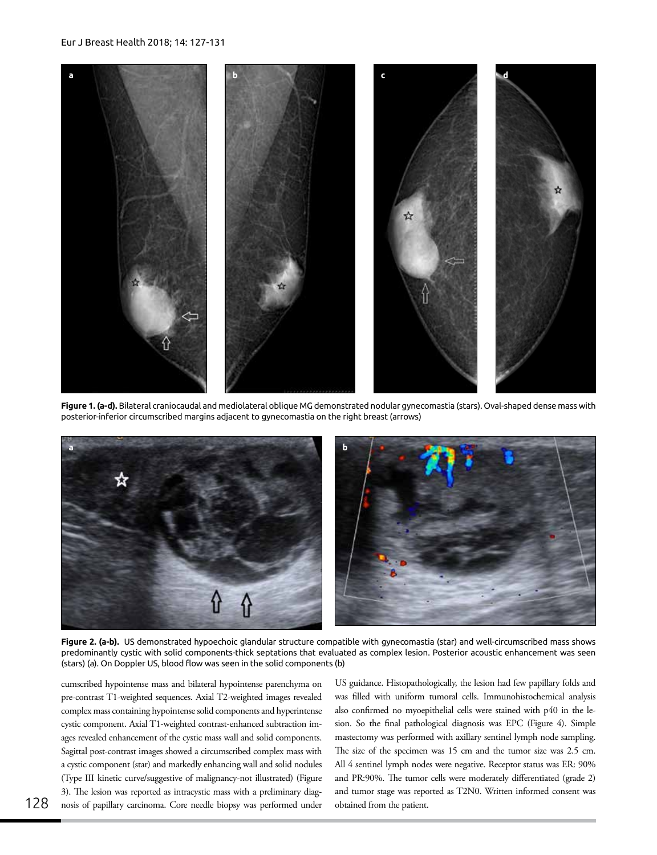#### Eur J Breast Health 2018; 14: 127-131



**Figure 1. (a-d).** Bilateral craniocaudal and mediolateral oblique MG demonstrated nodular gynecomastia (stars). Oval-shaped dense mass with posterior-inferior circumscribed margins adjacent to gynecomastia on the right breast (arrows)



**Figure 2. (a-b).** US demonstrated hypoechoic glandular structure compatible with gynecomastia (star) and well-circumscribed mass shows predominantly cystic with solid components-thick septations that evaluated as complex lesion. Posterior acoustic enhancement was seen (stars) (a). On Doppler US, blood flow was seen in the solid components (b)

cumscribed hypointense mass and bilateral hypointense parenchyma on pre-contrast T1-weighted sequences. Axial T2-weighted images revealed complex mass containing hypointense solid components and hyperintense cystic component. Axial T1-weighted contrast-enhanced subtraction images revealed enhancement of the cystic mass wall and solid components. Sagittal post-contrast images showed a circumscribed complex mass with a cystic component (star) and markedly enhancing wall and solid nodules (Type III kinetic curve/suggestive of malignancy-not illustrated) (Figure 3). The lesion was reported as intracystic mass with a preliminary diagnosis of papillary carcinoma. Core needle biopsy was performed under US guidance. Histopathologically, the lesion had few papillary folds and was filled with uniform tumoral cells. Immunohistochemical analysis also confirmed no myoepithelial cells were stained with p40 in the lesion. So the final pathological diagnosis was EPC (Figure 4). Simple mastectomy was performed with axillary sentinel lymph node sampling. The size of the specimen was 15 cm and the tumor size was 2.5 cm. All 4 sentinel lymph nodes were negative. Receptor status was ER: 90% and PR:90%. The tumor cells were moderately differentiated (grade 2) and tumor stage was reported as T2N0. Written informed consent was obtained from the patient.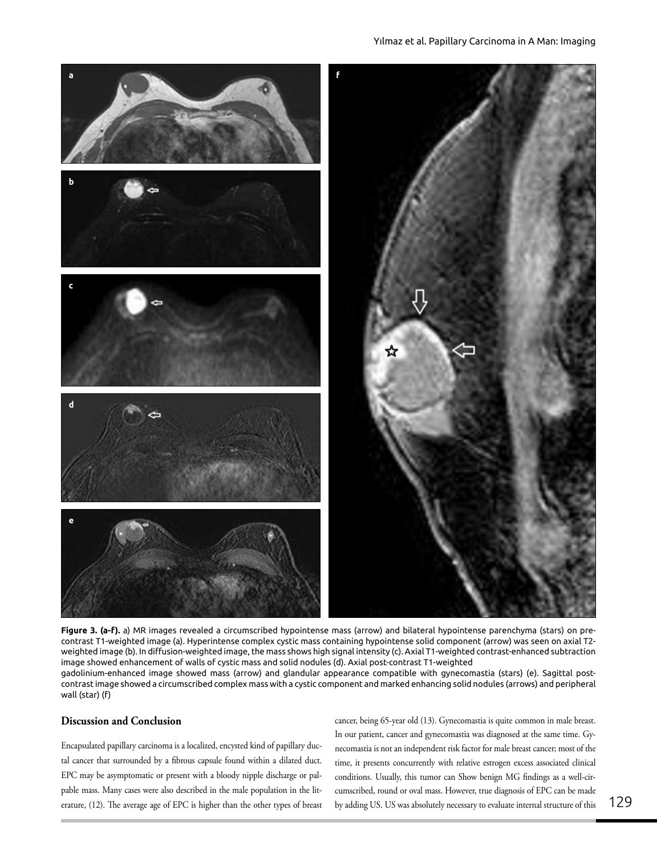## Yılmaz et al. Papillary Carcinoma in A Man: Imaging



**Figure 3. (a-f).** a) MR images revealed a circumscribed hypointense mass (arrow) and bilateral hypointense parenchyma (stars) on precontrast T1-weighted image (a). Hyperintense complex cystic mass containing hypointense solid component (arrow) was seen on axial T2 weighted image (b). In diffusion-weighted image, the mass shows high signal intensity (c). Axial T1-weighted contrast-enhanced subtraction image showed enhancement of walls of cystic mass and solid nodules (d). Axial post-contrast T1-weighted gadolinium-enhanced image showed mass (arrow) and glandular appearance compatible with gynecomastia (stars) (e). Sagittal postcontrast image showed a circumscribed complex mass with a cystic component and marked enhancing solid nodules (arrows) and peripheral wall (star) (f)

# **Discussion and Conclusion**

Encapsulated papillary carcinoma is a localized, encysted kind of papillary ductal cancer that surrounded by a fibrous capsule found within a dilated duct. EPC may be asymptomatic or present with a bloody nipple discharge or palpable mass. Many cases were also described in the male population in the literature, (12). The average age of EPC is higher than the other types of breast

cancer, being 65-year old (13). Gynecomastia is quite common in male breast. In our patient, cancer and gynecomastia was diagnosed at the same time. Gynecomastia is not an independent risk factor for male breast cancer; most of the time, it presents concurrently with relative estrogen excess associated clinical conditions. Usually, this tumor can Show benign MG findings as a well-circumscribed, round or oval mass. However, true diagnosis of EPC can be made by adding US. US was absolutely necessary to evaluate internal structure of this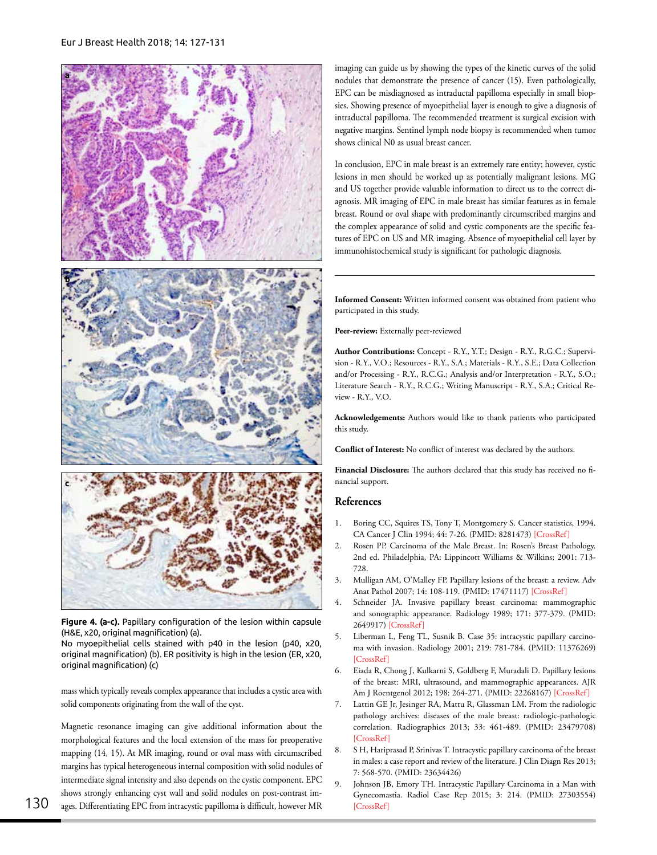

**Figure 4. (a-c).** Papillary configuration of the lesion within capsule (H&E, x20, original magnification) (a).

No myoepithelial cells stained with p40 in the lesion (p40, x20, original magnification) (b). ER positivity is high in the lesion (ER, x20, original magnification) (c)

mass which typically reveals complex appearance that includes a cystic area with solid components originating from the wall of the cyst.

Magnetic resonance imaging can give additional information about the morphological features and the local extension of the mass for preoperative mapping (14, 15). At MR imaging, round or oval mass with circumscribed margins has typical heterogeneous internal composition with solid nodules of intermediate signal intensity and also depends on the cystic component. EPC shows strongly enhancing cyst wall and solid nodules on post-contrast images. Differentiating EPC from intracystic papilloma is difficult, however MR imaging can guide us by showing the types of the kinetic curves of the solid nodules that demonstrate the presence of cancer (15). Even pathologically, EPC can be misdiagnosed as intraductal papilloma especially in small biopsies. Showing presence of myoepithelial layer is enough to give a diagnosis of intraductal papilloma. The recommended treatment is surgical excision with negative margins. Sentinel lymph node biopsy is recommended when tumor shows clinical N0 as usual breast cancer.

In conclusion, EPC in male breast is an extremely rare entity; however, cystic lesions in men should be worked up as potentially malignant lesions. MG and US together provide valuable information to direct us to the correct diagnosis. MR imaging of EPC in male breast has similar features as in female breast. Round or oval shape with predominantly circumscribed margins and the complex appearance of solid and cystic components are the specific features of EPC on US and MR imaging. Absence of myoepithelial cell layer by immunohistochemical study is significant for pathologic diagnosis.

**Informed Consent:** Written informed consent was obtained from patient who participated in this study.

Peer-review: Externally peer-reviewed

**Author Contributions:** Concept - R.Y., Y.T.; Design - R.Y., R.G.C.; Supervision - R.Y., V.O.; Resources - R.Y., S.A.; Materials - R.Y., S.E.; Data Collection and/or Processing - R.Y., R.C.G.; Analysis and/or Interpretation - R.Y., S.O.; Literature Search - R.Y., R.C.G.; Writing Manuscript - R.Y., S.A.; Critical Review - R.Y., V.O.

**Acknowledgements:** Authors would like to thank patients who participated this study.

**Conflict of Interest:** No conflict of interest was declared by the authors.

**Financial Disclosure:** The authors declared that this study has received no financial support.

# **References**

- 1. Boring CC, Squires TS, Tony T, Montgomery S. Cancer statistics, 1994. CA Cancer J Clin 1994; 44: 7-26. (PMID: 8281473) [[CrossRef](https://doi.org/10.3322/canjclin.44.1.7)]
- 2. Rosen PP. Carcinoma of the Male Breast. In: Rosen's Breast Pathology. 2nd ed. Philadelphia, PA: Lippincott Williams & Wilkins; 2001: 713- 728.
- 3. Mulligan AM, O'Malley FP. Papillary lesions of the breast: a review. Adv Anat Pathol 2007; 14: 108-119. (PMID: 17471117) [\[CrossRef\]](https://doi.org/10.1097/PAP.0b013e318032508d)
- 4. Schneider JA. Invasive papillary breast carcinoma: mammographic and sonographic appearance. Radiology 1989; 171: 377-379. (PMID: 2649917) [[CrossRef\]](https://doi.org/10.1148/radiology.171.2.2649917)
- 5. Liberman L, Feng TL, Susnik B. Case 35: intracystic papillary carcinoma with invasion. Radiology 2001; 219: 781-784. (PMID: 11376269) [\[CrossRef\]](https://doi.org/10.1148/radiology.219.3.r01jn10781)
- 6. Eiada R, Chong J, Kulkarni S, Goldberg F, Muradali D. Papillary lesions of the breast: MRI, ultrasound, and mammographic appearances. AJR Am J Roentgenol 2012; 198: 264-271. (PMID: 22268167) [\[CrossRef\]](https://doi.org/10.2214/AJR.11.7922)
- 7. Lattin GE Jr, Jesinger RA, Mattu R, Glassman LM. From the radiologic pathology archives: diseases of the male breast: radiologic-pathologic correlation. Radiographics 2013; 33: 461-489. (PMID: 23479708)  $[CrossRef]$
- 8. S H, Hariprasad P, Srinivas T. Intracystic papillary carcinoma of the breast in males: a case report and review of the literature. J Clin Diagn Res 2013; 7: 568-570. (PMID: 23634426)
- Johnson JB, Emory TH. Intracystic Papillary Carcinoma in a Man with Gynecomastia. Radiol Case Rep 2015; 3: 214. (PMID: 27303554) [\[CrossRef\]](https://doi.org/10.2484/rcr.v3i4.214)